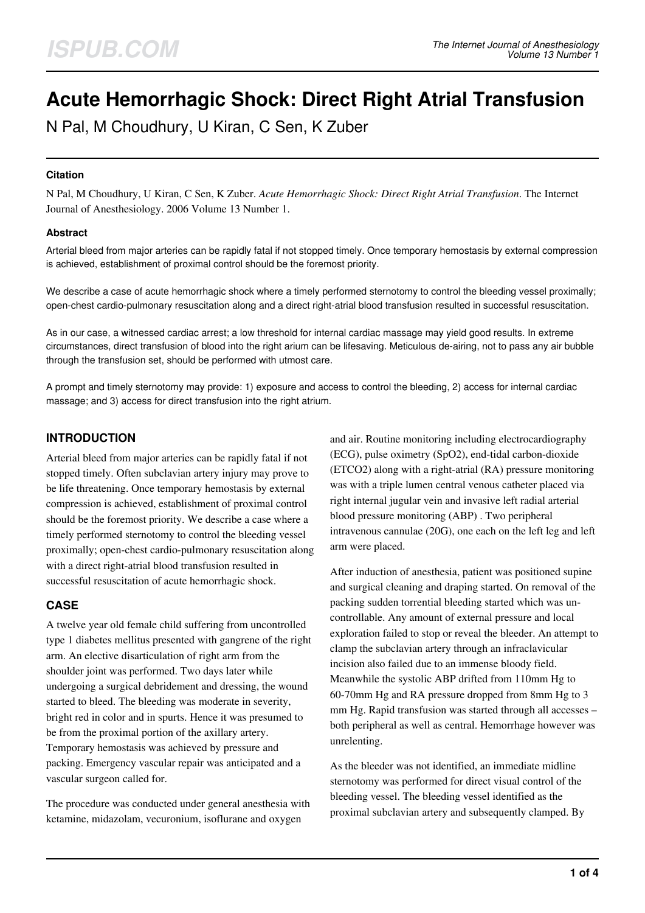# **Acute Hemorrhagic Shock: Direct Right Atrial Transfusion**

N Pal, M Choudhury, U Kiran, C Sen, K Zuber

#### **Citation**

N Pal, M Choudhury, U Kiran, C Sen, K Zuber. *Acute Hemorrhagic Shock: Direct Right Atrial Transfusion*. The Internet Journal of Anesthesiology. 2006 Volume 13 Number 1.

#### **Abstract**

Arterial bleed from major arteries can be rapidly fatal if not stopped timely. Once temporary hemostasis by external compression is achieved, establishment of proximal control should be the foremost priority.

We describe a case of acute hemorrhagic shock where a timely performed sternotomy to control the bleeding vessel proximally; open-chest cardio-pulmonary resuscitation along and a direct right-atrial blood transfusion resulted in successful resuscitation.

As in our case, a witnessed cardiac arrest; a low threshold for internal cardiac massage may yield good results. In extreme circumstances, direct transfusion of blood into the right arium can be lifesaving. Meticulous de-airing, not to pass any air bubble through the transfusion set, should be performed with utmost care.

A prompt and timely sternotomy may provide: 1) exposure and access to control the bleeding, 2) access for internal cardiac massage; and 3) access for direct transfusion into the right atrium.

## **INTRODUCTION**

Arterial bleed from major arteries can be rapidly fatal if not stopped timely. Often subclavian artery injury may prove to be life threatening. Once temporary hemostasis by external compression is achieved, establishment of proximal control should be the foremost priority. We describe a case where a timely performed sternotomy to control the bleeding vessel proximally; open-chest cardio-pulmonary resuscitation along with a direct right-atrial blood transfusion resulted in successful resuscitation of acute hemorrhagic shock.

## **CASE**

A twelve year old female child suffering from uncontrolled type 1 diabetes mellitus presented with gangrene of the right arm. An elective disarticulation of right arm from the shoulder joint was performed. Two days later while undergoing a surgical debridement and dressing, the wound started to bleed. The bleeding was moderate in severity, bright red in color and in spurts. Hence it was presumed to be from the proximal portion of the axillary artery. Temporary hemostasis was achieved by pressure and packing. Emergency vascular repair was anticipated and a vascular surgeon called for.

The procedure was conducted under general anesthesia with ketamine, midazolam, vecuronium, isoflurane and oxygen

and air. Routine monitoring including electrocardiography (ECG), pulse oximetry (SpO2), end-tidal carbon-dioxide (ETCO2) along with a right-atrial (RA) pressure monitoring was with a triple lumen central venous catheter placed via right internal jugular vein and invasive left radial arterial blood pressure monitoring (ABP) . Two peripheral intravenous cannulae (20G), one each on the left leg and left arm were placed.

After induction of anesthesia, patient was positioned supine and surgical cleaning and draping started. On removal of the packing sudden torrential bleeding started which was uncontrollable. Any amount of external pressure and local exploration failed to stop or reveal the bleeder. An attempt to clamp the subclavian artery through an infraclavicular incision also failed due to an immense bloody field. Meanwhile the systolic ABP drifted from 110mm Hg to 60-70mm Hg and RA pressure dropped from 8mm Hg to 3 mm Hg. Rapid transfusion was started through all accesses – both peripheral as well as central. Hemorrhage however was unrelenting.

As the bleeder was not identified, an immediate midline sternotomy was performed for direct visual control of the bleeding vessel. The bleeding vessel identified as the proximal subclavian artery and subsequently clamped. By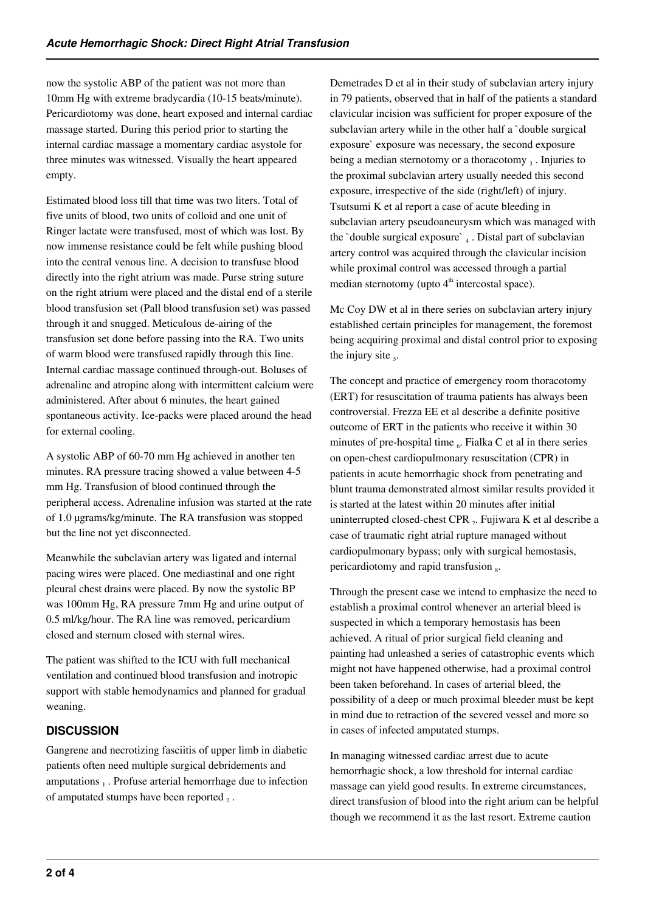now the systolic ABP of the patient was not more than 10mm Hg with extreme bradycardia (10-15 beats/minute). Pericardiotomy was done, heart exposed and internal cardiac massage started. During this period prior to starting the internal cardiac massage a momentary cardiac asystole for three minutes was witnessed. Visually the heart appeared empty.

Estimated blood loss till that time was two liters. Total of five units of blood, two units of colloid and one unit of Ringer lactate were transfused, most of which was lost. By now immense resistance could be felt while pushing blood into the central venous line. A decision to transfuse blood directly into the right atrium was made. Purse string suture on the right atrium were placed and the distal end of a sterile blood transfusion set (Pall blood transfusion set) was passed through it and snugged. Meticulous de-airing of the transfusion set done before passing into the RA. Two units of warm blood were transfused rapidly through this line. Internal cardiac massage continued through-out. Boluses of adrenaline and atropine along with intermittent calcium were administered. After about 6 minutes, the heart gained spontaneous activity. Ice-packs were placed around the head for external cooling.

A systolic ABP of 60-70 mm Hg achieved in another ten minutes. RA pressure tracing showed a value between 4-5 mm Hg. Transfusion of blood continued through the peripheral access. Adrenaline infusion was started at the rate of 1.0 µgrams/kg/minute. The RA transfusion was stopped but the line not yet disconnected.

Meanwhile the subclavian artery was ligated and internal pacing wires were placed. One mediastinal and one right pleural chest drains were placed. By now the systolic BP was 100mm Hg, RA pressure 7mm Hg and urine output of 0.5 ml/kg/hour. The RA line was removed, pericardium closed and sternum closed with sternal wires.

The patient was shifted to the ICU with full mechanical ventilation and continued blood transfusion and inotropic support with stable hemodynamics and planned for gradual weaning.

# **DISCUSSION**

Gangrene and necrotizing fasciitis of upper limb in diabetic patients often need multiple surgical debridements and amputations  $_1$ . Profuse arterial hemorrhage due to infection of amputated stumps have been reported  $_2$ .

Demetrades D et al in their study of subclavian artery injury in 79 patients, observed that in half of the patients a standard clavicular incision was sufficient for proper exposure of the subclavian artery while in the other half a `double surgical exposure` exposure was necessary, the second exposure being a median sternotomy or a thoracotomy  $_3$ . Injuries to the proximal subclavian artery usually needed this second exposure, irrespective of the side (right/left) of injury. Tsutsumi K et al report a case of acute bleeding in subclavian artery pseudoaneurysm which was managed with the 'double surgical exposure' 4. Distal part of subclavian artery control was acquired through the clavicular incision while proximal control was accessed through a partial median sternotomy (upto  $4<sup>th</sup>$  intercostal space).

Mc Coy DW et al in there series on subclavian artery injury established certain principles for management, the foremost being acquiring proximal and distal control prior to exposing the injury site  $<sub>5</sub>$ .</sub>

The concept and practice of emergency room thoracotomy (ERT) for resuscitation of trauma patients has always been controversial. Frezza EE et al describe a definite positive outcome of ERT in the patients who receive it within 30 minutes of pre-hospital time  $_6$ . Fialka C et al in there series on open-chest cardiopulmonary resuscitation (CPR) in patients in acute hemorrhagic shock from penetrating and blunt trauma demonstrated almost similar results provided it is started at the latest within 20 minutes after initial uninterrupted closed-chest CPR 7. Fujiwara K et al describe a case of traumatic right atrial rupture managed without cardiopulmonary bypass; only with surgical hemostasis, pericardiotomy and rapid transfusion  $_8$ .

Through the present case we intend to emphasize the need to establish a proximal control whenever an arterial bleed is suspected in which a temporary hemostasis has been achieved. A ritual of prior surgical field cleaning and painting had unleashed a series of catastrophic events which might not have happened otherwise, had a proximal control been taken beforehand. In cases of arterial bleed, the possibility of a deep or much proximal bleeder must be kept in mind due to retraction of the severed vessel and more so in cases of infected amputated stumps.

In managing witnessed cardiac arrest due to acute hemorrhagic shock, a low threshold for internal cardiac massage can yield good results. In extreme circumstances, direct transfusion of blood into the right arium can be helpful though we recommend it as the last resort. Extreme caution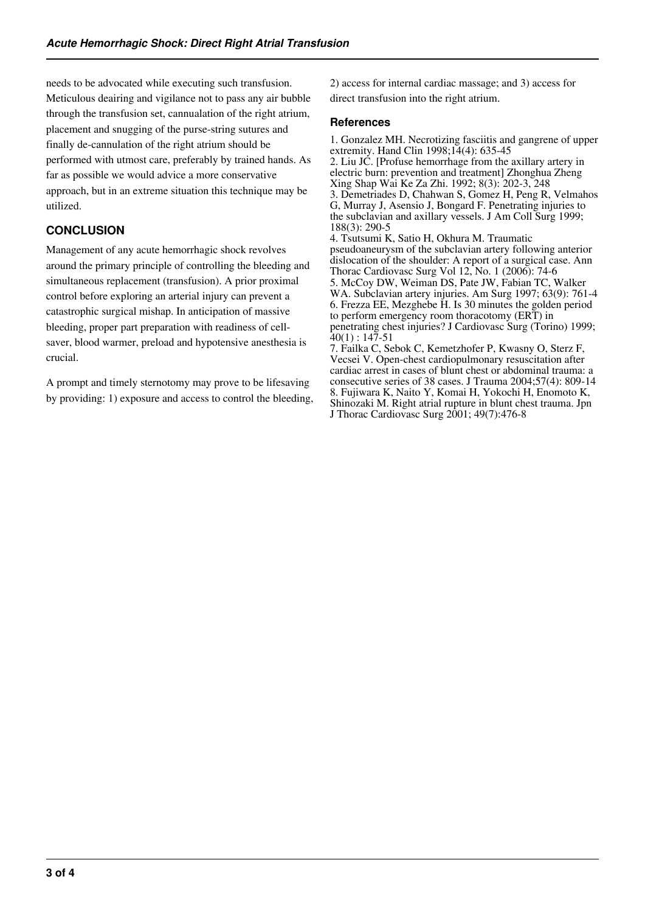needs to be advocated while executing such transfusion. Meticulous deairing and vigilance not to pass any air bubble through the transfusion set, cannualation of the right atrium, placement and snugging of the purse-string sutures and finally de-cannulation of the right atrium should be performed with utmost care, preferably by trained hands. As far as possible we would advice a more conservative approach, but in an extreme situation this technique may be utilized.

# **CONCLUSION**

Management of any acute hemorrhagic shock revolves around the primary principle of controlling the bleeding and simultaneous replacement (transfusion). A prior proximal control before exploring an arterial injury can prevent a catastrophic surgical mishap. In anticipation of massive bleeding, proper part preparation with readiness of cellsaver, blood warmer, preload and hypotensive anesthesia is crucial.

A prompt and timely sternotomy may prove to be lifesaving by providing: 1) exposure and access to control the bleeding, 2) access for internal cardiac massage; and 3) access for direct transfusion into the right atrium.

#### **References**

1. Gonzalez MH. Necrotizing fasciitis and gangrene of upper extremity. Hand Clin 1998;14(4): 635-45 2. Liu JC. [Profuse hemorrhage from the axillary artery in electric burn: prevention and treatment] Zhonghua Zheng Xing Shap Wai Ke Za Zhi. 1992; 8(3): 202-3, 248 3. Demetriades D, Chahwan S, Gomez H, Peng R, Velmahos G, Murray J, Asensio J, Bongard F. Penetrating injuries to the subclavian and axillary vessels. J Am Coll Surg 1999; 188(3): 290-5 4. Tsutsumi K, Satio H, Okhura M. Traumatic pseudoaneurysm of the subclavian artery following anterior dislocation of the shoulder: A report of a surgical case. Ann Thorac Cardiovasc Surg Vol 12, No. 1 (2006): 74-6 5. McCoy DW, Weiman DS, Pate JW, Fabian TC, Walker WA. Subclavian artery injuries. Am Surg 1997; 63(9): 761-4 6. Frezza EE, Mezghebe H. Is 30 minutes the golden period to perform emergency room thoracotomy (ERT) in penetrating chest injuries? J Cardiovasc Surg (Torino) 1999;  $40(1): 147-51$ 7. Failka C, Sebok C, Kemetzhofer P, Kwasny O, Sterz F,

Vecsei V. Open-chest cardiopulmonary resuscitation after cardiac arrest in cases of blunt chest or abdominal trauma: a consecutive series of 38 cases. J Trauma 2004;57(4): 809-14 8. Fujiwara K, Naito Y, Komai H, Yokochi H, Enomoto K, Shinozaki M. Right atrial rupture in blunt chest trauma. Jpn J Thorac Cardiovasc Surg 2001; 49(7):476-8